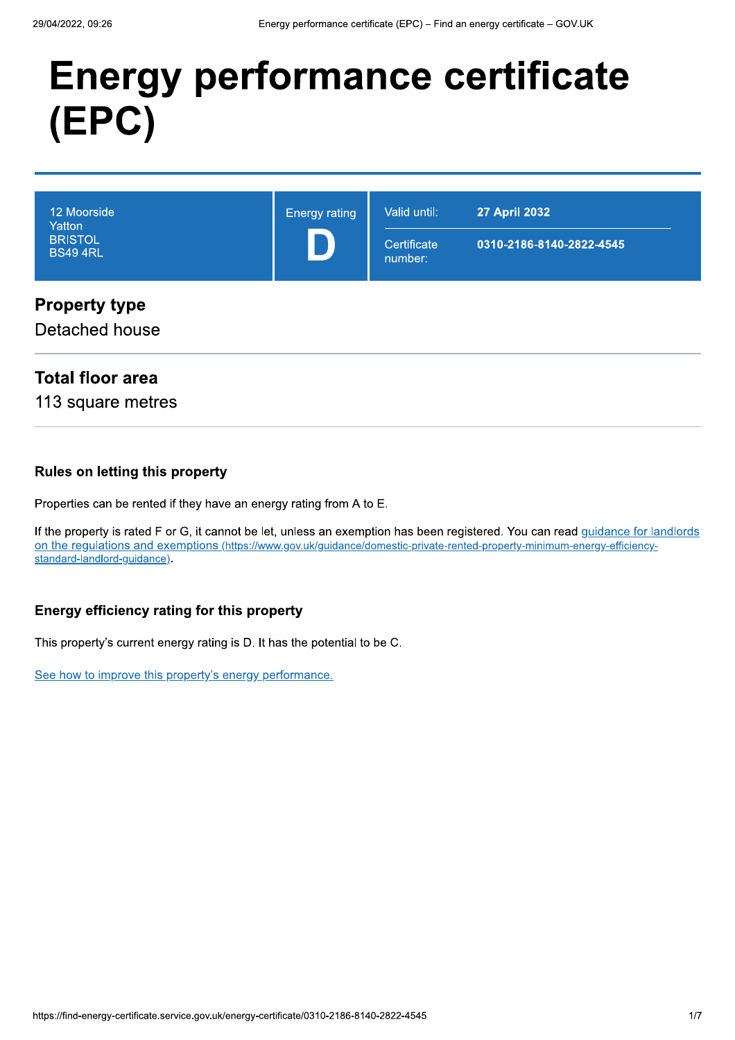# **Energy performance certificate** (EPC)

| 12 Moorside<br>Yatton<br><b>BRISTOL</b><br><b>BS49 4RL</b> | <b>Energy rating</b> | Valid until:<br>Certificate<br>number: | <b>27 April 2032</b><br>0310-2186-8140-2822-4545 |
|------------------------------------------------------------|----------------------|----------------------------------------|--------------------------------------------------|
| <b>Property type</b>                                       |                      |                                        |                                                  |

Detached house

## **Total floor area**

113 square metres

#### **Rules on letting this property**

Properties can be rented if they have an energy rating from A to E.

If the property is rated F or G, it cannot be let, unless an exemption has been registered. You can read guidance for landlords on the regulations and exemptions (https://www.gov.uk/guidance/domestic-private-rented-property-minimum-energy-efficiencystandard-landlord-guidance).

#### Energy efficiency rating for this property

This property's current energy rating is D. It has the potential to be C.

See how to improve this property's energy performance.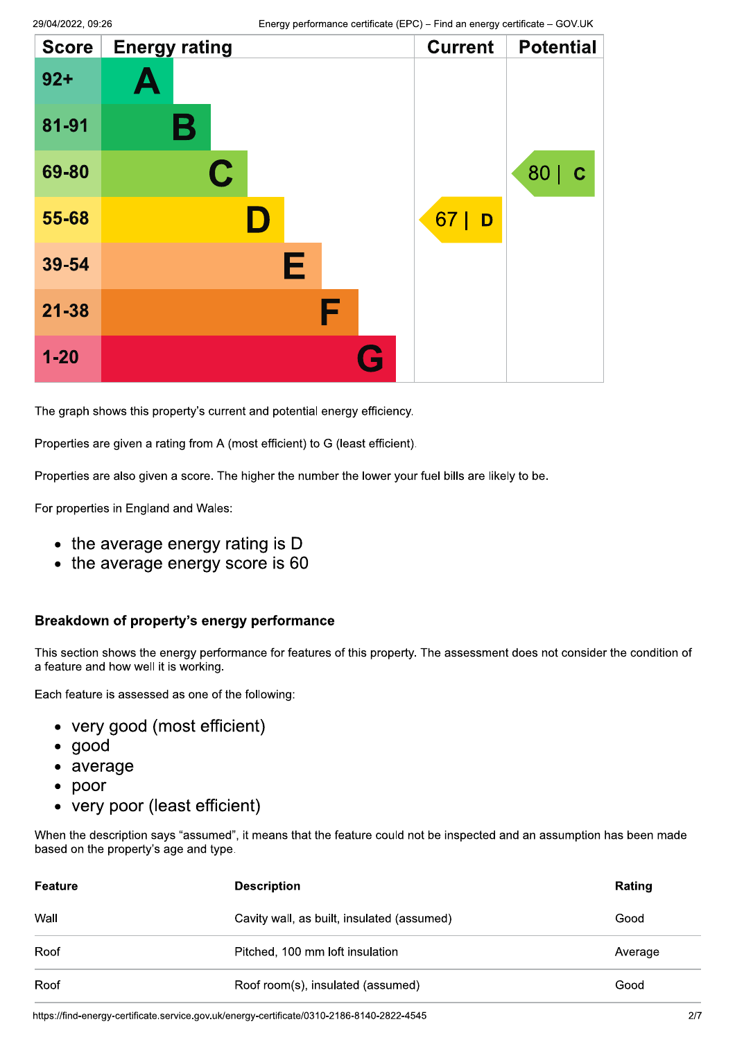| <b>Score</b> | <b>Energy rating</b> | <b>Current</b> | <b>Potential</b>    |
|--------------|----------------------|----------------|---------------------|
| $92 +$       | Ą                    |                |                     |
| 81-91        | Β                    |                |                     |
| 69-80        | $\mathbf C$          |                | 80  <br>$\mathbf C$ |
| 55-68        | II)                  | 67<br>D        |                     |
| 39-54        | Е                    |                |                     |
| $21 - 38$    | F                    |                |                     |
| $1 - 20$     |                      |                |                     |

The graph shows this property's current and potential energy efficiency.

Properties are given a rating from A (most efficient) to G (least efficient).

Properties are also given a score. The higher the number the lower your fuel bills are likely to be.

For properties in England and Wales:

- the average energy rating is D
- $\bullet$  the average energy score is 60

#### Breakdown of property's energy performance

This section shows the energy performance for features of this property. The assessment does not consider the condition of a feature and how well it is working.

Each feature is assessed as one of the following:

- very good (most efficient)
- $\bullet$  good
- average
- $\bullet$  poor
- very poor (least efficient)

When the description says "assumed", it means that the feature could not be inspected and an assumption has been made based on the property's age and type.

| Feature | <b>Description</b>                         | Rating  |
|---------|--------------------------------------------|---------|
| Wall    | Cavity wall, as built, insulated (assumed) | Good    |
| Roof    | Pitched, 100 mm loft insulation            | Average |
| Roof    | Roof room(s), insulated (assumed)          | Good    |

https://find-energy-certificate.service.gov.uk/energy-certificate/0310-2186-8140-2822-4545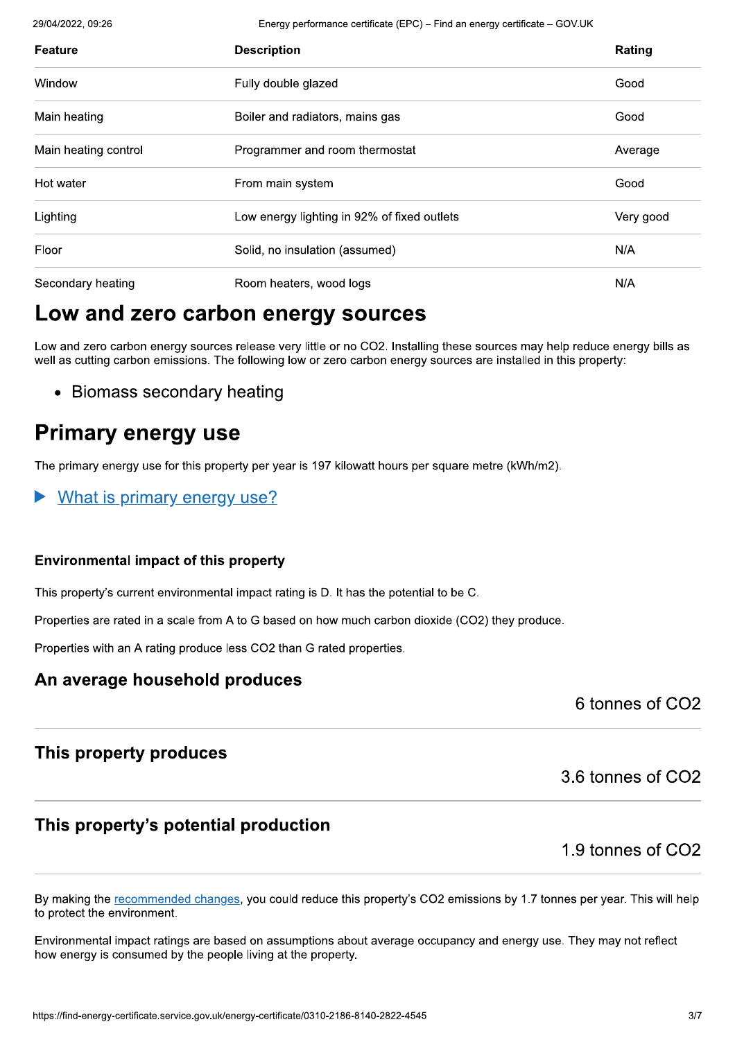29/04/2022, 09:26

Energy performance certificate (EPC) - Find an energy certificate - GOV.UK

| <b>Feature</b>       | <b>Description</b>                          | Rating    |
|----------------------|---------------------------------------------|-----------|
| Window               | Fully double glazed                         | Good      |
| Main heating         | Boiler and radiators, mains gas             | Good      |
| Main heating control | Programmer and room thermostat              | Average   |
| Hot water            | From main system                            | Good      |
| Lighting             | Low energy lighting in 92% of fixed outlets | Very good |
| Floor                | Solid, no insulation (assumed)              | N/A       |
| Secondary heating    | Room heaters, wood logs                     | N/A       |

## Low and zero carbon energy sources

Low and zero carbon energy sources release very little or no CO2. Installing these sources may help reduce energy bills as well as cutting carbon emissions. The following low or zero carbon energy sources are installed in this property:

• Biomass secondary heating

## **Primary energy use**

The primary energy use for this property per year is 197 kilowatt hours per square metre (kWh/m2).

What is primary energy use?

#### **Environmental impact of this property**

This property's current environmental impact rating is D. It has the potential to be C.

Properties are rated in a scale from A to G based on how much carbon dioxide (CO2) they produce.

Properties with an A rating produce less CO2 than G rated properties.

## An average household produces

6 tonnes of CO<sub>2</sub>

## This property produces

3.6 tonnes of CO2

## This property's potential production

1.9 tonnes of CO<sub>2</sub>

By making the recommended changes, you could reduce this property's CO2 emissions by 1.7 tonnes per year. This will help to protect the environment.

Environmental impact ratings are based on assumptions about average occupancy and energy use. They may not reflect how energy is consumed by the people living at the property.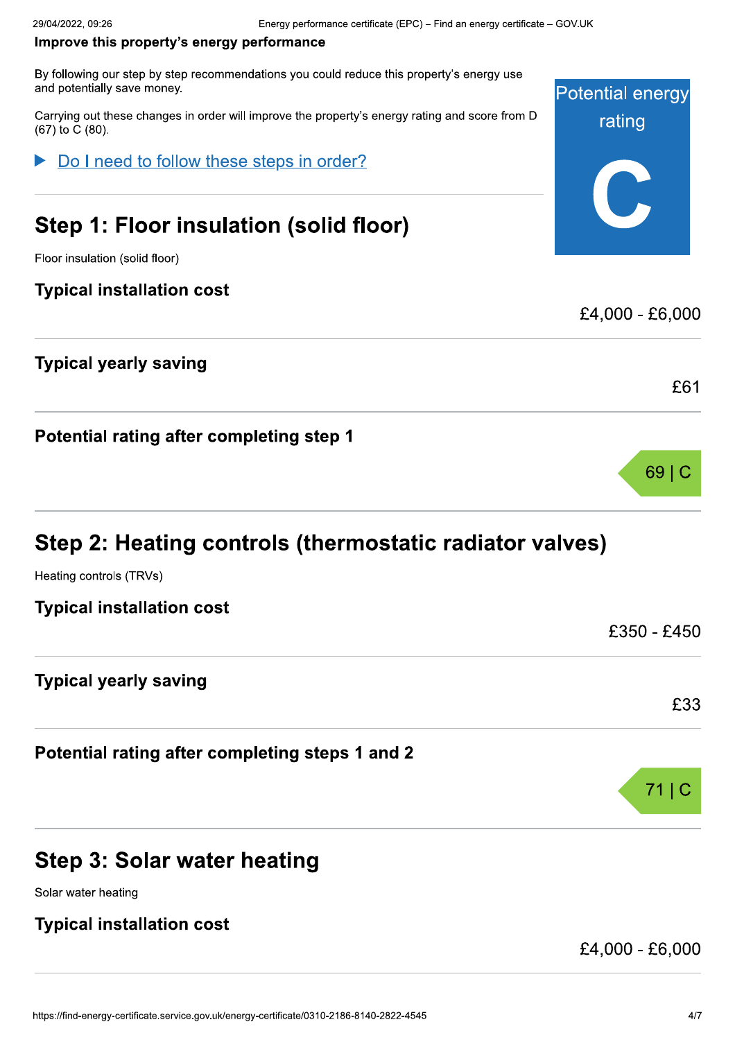#### Improve this property's energy performance

By following our step by step recommendations you could reduce this property's energy use and potentially save money. Energy performance certificate (<br>
rty's energy performance<br>
v step recommendations you could reduce this<br>
iney.<br>
Inges in order will improve the property's energy<br>
Finsulation (solid floor

29/04/2022, 09:26<br> **Improve this property's energy p**<br>
By following our step by step recommen<br>
and potentially save money.<br>
Carrying out these changes in order will<br>
(67) to C (80).<br>
▶ Do I need to follow these Carrying out these changes in order will improve the property's energy rating and score from D (67) to C (80).

Do I need to follow these steps in order?

## Step 1: Floor insulation (solid floor)

Floor insulation (solid floor)

## **Typical installation cost**

## Typical yearly saving

Potential rating after completing step 1

## Step 2: Heating controls (thermostatic radiator valves)

Heating controls (TRVs)

| <b>Typical installation cost</b> |  |
|----------------------------------|--|
|                                  |  |
|                                  |  |

Typical yearly saving

Potential rating after completing steps 1 and 2

## Step 3: Solar water heating

Solar water heating

## **Typical installation cost**

£4,000 - £6,000



 $69 C$ 

£61

£4,000 - £6,000

 $f350 - f450$ 

£33

 $71$ | C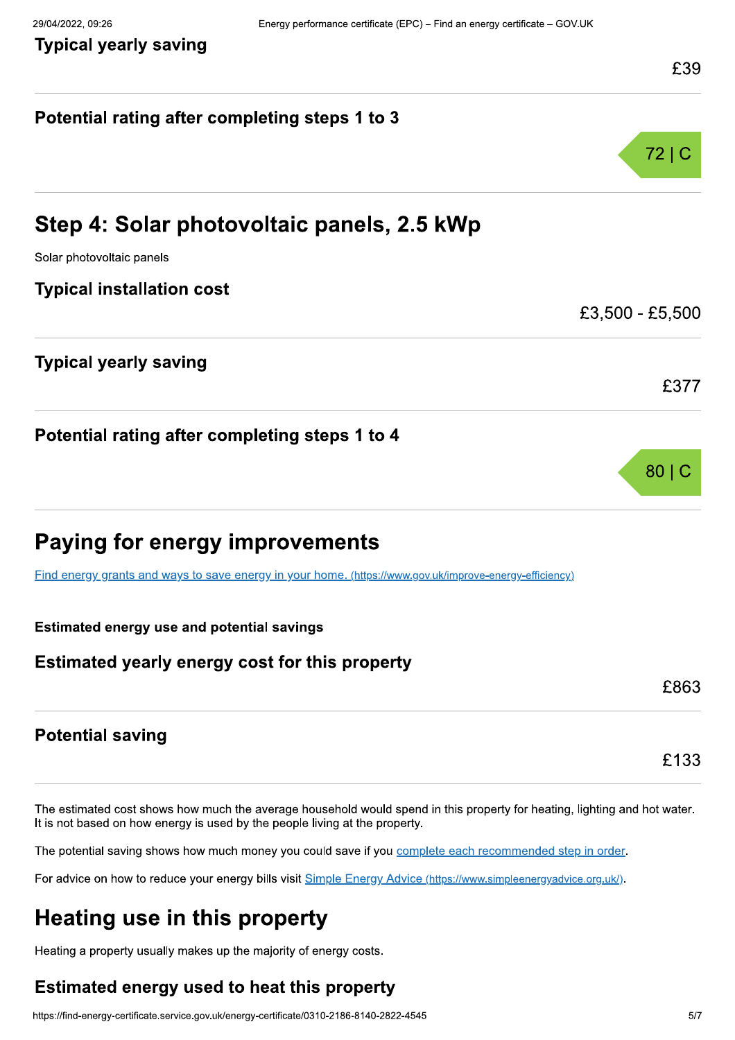## Potential rating after completing steps 1 to 3  $72|C$ Step 4: Solar photovoltaic panels, 2.5 kWp<br>
Solar photovoltaic panels<br>
Typical installation cost<br>
Typical yearly saving Solar photovoltaic panels **Typical installation cost** £3,500 - £5,500 **Typical yearly saving** £377 Potential rating after completing steps 1 to 4  $80<sub>1</sub>$ Paying for energy improvements Find energy grants and ways to save energy in your home, (https://www.gov.uk/improve-energy-efficiency) g for energy improvement of the same and ways to save energy in your homes are and yearly use and potential savings and yearly energy cost for this ments<br><u>nome. (https://www.gov.uk/improve-energy-e</u><br>s<br>nis property :S<br>ps://www.gov.uk/improve-energy-efficiency)<br>pperty Estimated energy use and potential savings Estimated yearly energy cost for this property £863 **Potential saving** Potential saving<br>
Free stimated cost shows how much the average household would spend in this property for heating, lighting and hot water.<br>
It is not based on how energy is used by the people living at the property.<br>
The s how much the average household would spend in<br>ergy is used by the people living at the property.<br>ws how much money you could save if you <u>complet</u><br>uce your energy bills visit **Simple Energy Advice (ht** The estimated cost shows how much the stimated cost shows how much the potential saving shows how much For advice on how to reduce your ener The average household would spend in this property for he<br>
d by the people living at the property.<br>
ch money you could save if you <u>complete each recommend</u><br>
nergy bills visit <u>Simple Energy Advice (https://www.simpleener</u>

d in this property for heating, lighting and hot water. It is not based on how energy is used by the people living at the property. The estimated cost shows ho<br>It is not based on how energy<br>The potential saving shows h<br>For advice on how to reduce<br>**Heating use in**<br>Heating a property usually ma<br>**Estimated energy use** ws how much the average household would senergy is used by the people living at the prop<br>ows how much money you could save if you <u>c</u><br>duce your energy bills visit <u>Simple Energy Ad</u><br>**in this property**<br>ally makes up the maj age household would spend in this property for<br>eople living at the property.<br>you could save if you <u>complete each recomm</u><br>visit <u>Simple Energy Advice (https://www.simplee</u><br>**Derty**<br>ity of energy costs.<br>**t this property** is property for heating, lighting and hot was<br>
ach recommended step in order.<br>
<u>//www.simpleenergyadvice.org.uk/)</u>.<br>

The potential saving shows how much money you could save if you complete each recommended step in order.

how to reduce your energy bills visit Simple Energy Advice (https://www.simpleenergyadvice.org.uk/).

## Heating use in this property

Heating a property usually makes up the maiority of energy costs.

# a property usually makes up the majority contract a property usually makes up the majority contract and the majority of the majority of  $\alpha$  and  $\alpha$  are may certificate. Estimated energy used to heat this property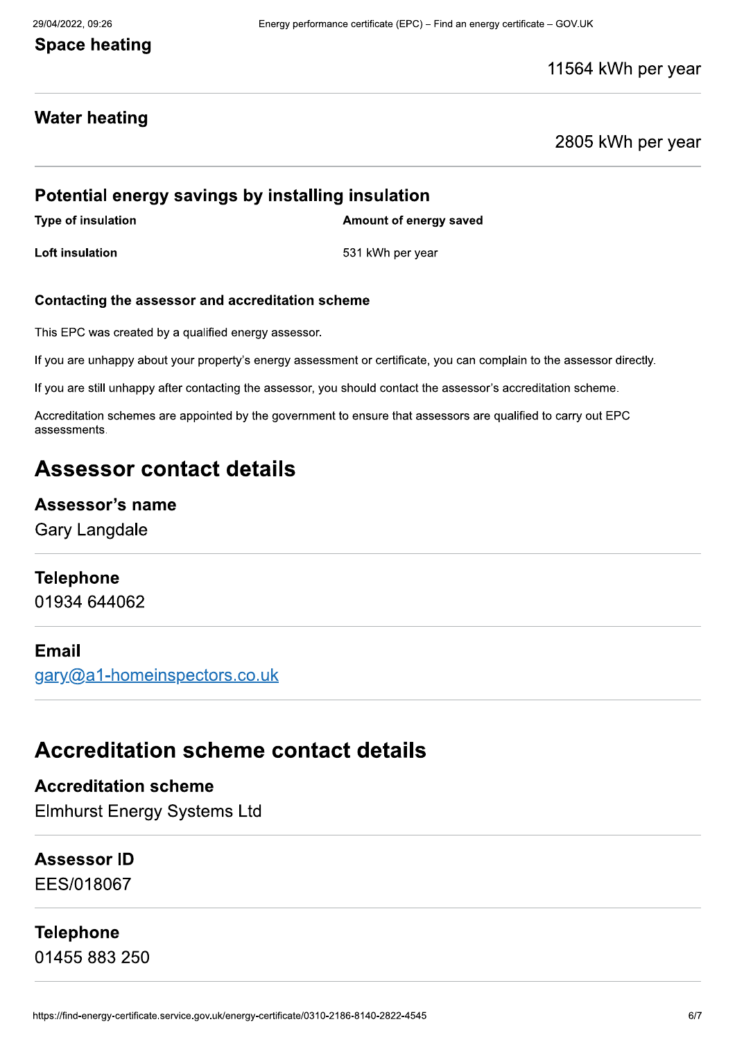## **Space heating**

11564 kWh per year

## **Water heating**

2805 kWh per year

## Potential energy savings by installing insulation

Type of insulation Type of insulation and the state of energy saved

Loft insulation and the set of the set of the set of the set of the set of the set of the set of the set of the set of the set of the set of the set of the set of the set of the set of the set of the set of the set of the

#### Contacting the assessor and accreditation scheme

This EPC was created by a qualified energy assessor.

If you are unhappy about your property's energy assessment or certificate, you can complain to the assessor directly,

If you are still unhappy after contacting the assessor, you should contact the assessor's accreditation scheme.

Accreditation schemes are appointed by the government to ensure that assessors are qualified to carry out EPC ssor and accreditation scheme<br>y a qualified energy assessor.<br>t your property's energy assessment or certificter contacting the assessor, you should contain<br>the appointed by the government to ensure that<br>**ntact details** assessments.

## Assessor contact details

### Assessor's name

Gary Langdale

## **Telephone**

01934 644062

#### Email

aarv@a1-homeinspectors.co.uk

## Accreditation scheme contact details

**Accreditation scheme** Elmhurst Energy Systems Ltd

Assessor ID EES/018067

## Telephone

01455 883 250